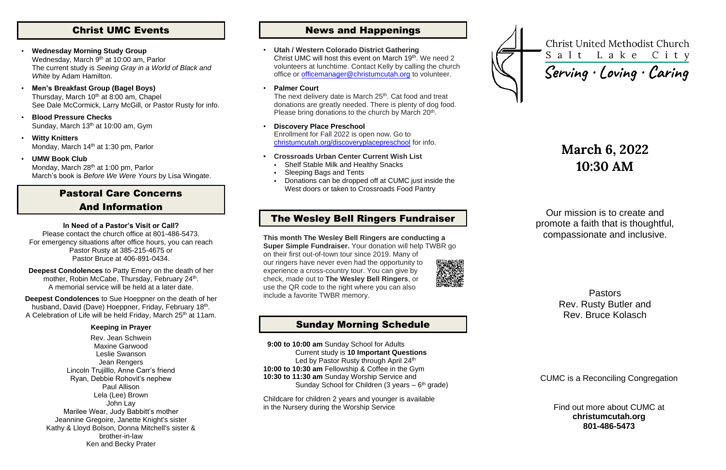## Christ UMC Events

- **Wednesday Morning Study Group** Wednesday, March 9<sup>th</sup> at 10:00 am, Parlor The current study is *Seeing Gray in a World of Black and White* by Adam Hamilton.
- **Men's Breakfast Group (Bagel Boys)** Thursday, March 10<sup>th</sup> at 8:00 am, Chapel See Dale McCormick, Larry McGill, or Pastor Rusty for info.
- **Blood Pressure Checks** Sunday, March 13<sup>th</sup> at 10:00 am, Gym
- **Witty Knitters** Monday, March 14<sup>th</sup> at 1:30 pm, Parlor
- **UMW Book Club**

Monday, March 28<sup>th</sup> at 1:00 pm, Parlor March's book is *Before We Were Yours* by Lisa Wingate.

**Deepest Condolences** to Sue Hoeppner on the death of her husband, David (Dave) Hoeppner, Friday, February 18<sup>th</sup>. A Celebration of Life will be held Friday, March 25<sup>th</sup> at 11am.

## Pastoral Care Concerns And Information

### **In Need of a Pastor's Visit or Call?**

Please contact the church office at 801-486-5473. For emergency situations after office hours, you can reach Pastor Rusty at 385-215-4675 or Pastor Bruce at 406-891-0434.

**Deepest Condolences** to Patty Emery on the death of her mother, Robin McCabe, Thursday, February 24<sup>th</sup>. A memorial service will be held at a later date.

### **Keeping in Prayer**

Rev. Jean Schwein Maxine Garwood Leslie Swanson Jean Rengers Lincoln Trujilllo, Anne Carr's friend Ryan, Debbie Rohovit's nephew Paul Allison Lela (Lee) Brown John Lay Marilee Wear, Judy Babbitt's mother Jeannine Gregoire, Janette Knight's sister Kathy & Lloyd Bolson, Donna Mitchell's sister & brother-in-law Ken and Becky Prater

 **9:00 to 10:00 am** Sunday School for Adults Current study is **10 Important Questions** Led by Pastor Rusty through April 24th **10:00 to 10:30 am** Fellowship & Coffee in the Gym **10:30 to 11:30 am** Sunday Worship Service and Sunday School for Children (3 years  $-6$ <sup>th</sup> grade)

## News and Happenings

• **Utah / Western Colorado District Gathering** Christ UMC will host this event on March 19<sup>th</sup>. We need 2 volunteers at lunchtime. Contact Kelly by calling the church office or [officemanager@christumcutah.org](mailto:officemanager@christumcutah.org) to volunteer.

### • **Palmer Court**

The next delivery date is March 25<sup>th</sup>. Cat food and treat donations are greatly needed. There is plenty of dog food. Please bring donations to the church by March 20<sup>th</sup>.

- **Discovery Place Preschool** Enrollment for Fall 2022 is open now. Go to [christumcutah.org/discoveryplacepreschool](file://///CUMC-DC01/data/CUMCData/CommonFolder/Bulletins/2022%20Bulletins/01%20January/christumcutah.org/discoveryplacepreschool) for info.
- **• Crossroads Urban Center Current Wish List**
	- Shelf Stable Milk and Healthy Snacks
	- **Sleeping Bags and Tents**
	- Donations can be dropped off at CUMC just inside the West doors or taken to Crossroads Food Pantry

## The Wesley Bell Ringers Fundraiser

**This month The Wesley Bell Ringers are conducting a Super Simple Fundraiser.** Your donation will help TWBR go on their first out-of-town tour since 2019. Many of our ringers have never even had the opportunity to experience a cross-country tour. You can give by check, made out to **The Wesley Bell Ringers**, or use the QR code to the right where you can also include a favorite TWBR memory.



## Sunday Morning Schedule

Childcare for children 2 years and younger is available in the Nursery during the Worship Service



**Christ United Methodist Church** Salt Lake City

Serving · Loving · Caring

# **March 6, 2022 10:30 AM**

Our mission is to create and promote a faith that is thoughtful, compassionate and inclusive.

> Pastors Rev. Rusty Butler and Rev. Bruce Kolasch

CUMC is a Reconciling Congregation

Find out more about CUMC at **christumcutah.org 801-486-5473**